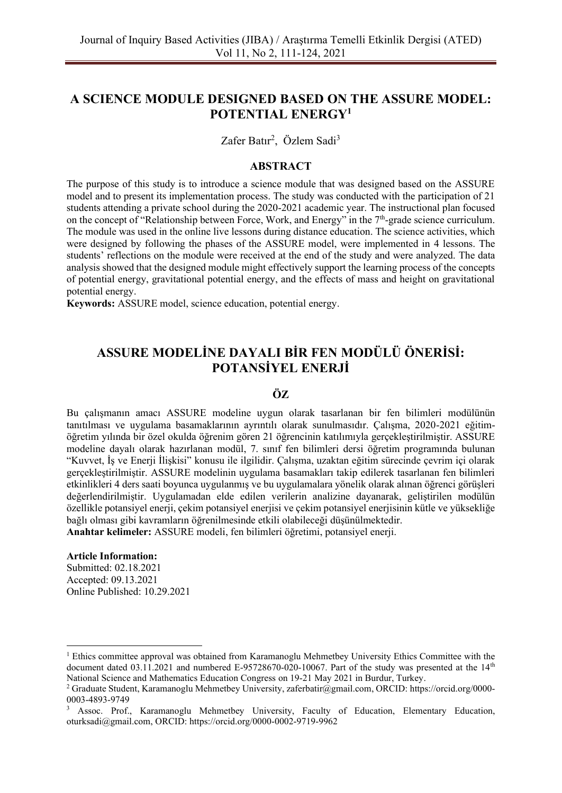# **A SCIENCE MODULE DESIGNED BASED ON THE ASSURE MODEL: POTENTIAL ENERGY<sup>1</sup>**

Zafer Batır<sup>2</sup>, Özlem Sadi<sup>3</sup>

### **ABSTRACT**

The purpose of this study is to introduce a science module that was designed based on the ASSURE model and to present its implementation process. The study was conducted with the participation of 21 students attending a private school during the 2020-2021 academic year. The instructional plan focused on the concept of "Relationship between Force, Work, and Energy" in the 7<sup>th</sup>-grade science curriculum. The module was used in the online live lessons during distance education. The science activities, which were designed by following the phases of the ASSURE model, were implemented in 4 lessons. The students' reflections on the module were received at the end of the study and were analyzed. The data analysis showed that the designed module might effectively support the learning process of the concepts of potential energy, gravitational potential energy, and the effects of mass and height on gravitational potential energy.

**Keywords:** ASSURE model, science education, potential energy.

# **ASSURE MODELİNE DAYALI BİR FEN MODÜLÜ ÖNERİSİ: POTANSİYEL ENERJİ**

## **ÖZ**

Bu çalışmanın amacı ASSURE modeline uygun olarak tasarlanan bir fen bilimleri modülünün tanıtılması ve uygulama basamaklarının ayrıntılı olarak sunulmasıdır. Çalışma, 2020-2021 eğitimöğretim yılında bir özel okulda öğrenim gören 21 öğrencinin katılımıyla gerçekleştirilmiştir. ASSURE modeline dayalı olarak hazırlanan modül, 7. sınıf fen bilimleri dersi öğretim programında bulunan "Kuvvet, İş ve Enerji İlişkisi" konusu ile ilgilidir. Çalışma, uzaktan eğitim sürecinde çevrim içi olarak gerçekleştirilmiştir. ASSURE modelinin uygulama basamakları takip edilerek tasarlanan fen bilimleri etkinlikleri 4 ders saati boyunca uygulanmış ve bu uygulamalara yönelik olarak alınan öğrenci görüşleri değerlendirilmiştir. Uygulamadan elde edilen verilerin analizine dayanarak, geliştirilen modülün özellikle potansiyel enerji, çekim potansiyel enerjisi ve çekim potansiyel enerjisinin kütle ve yüksekliğe bağlı olması gibi kavramların öğrenilmesinde etkili olabileceği düşünülmektedir. **Anahtar kelimeler:** ASSURE modeli, fen bilimleri öğretimi, potansiyel enerji.

#### **Article Information:**

Submitted: 02.18.2021 Accepted: 09.13.2021 Online Published: 10.29.2021

 $1$  Ethics committee approval was obtained from Karamanoglu Mehmetbey University Ethics Committee with the document dated 03.11.2021 and numbered E-95728670-020-10067. Part of the study was presented at the 14<sup>th</sup> National Science and Mathematics Education Congress on 19-21 May 2021 in Burdur, Turkey.

<sup>2</sup> Graduate Student, Karamanoglu Mehmetbey University, zaferbatir@gmail.com, ORCID: https://orcid.org/0000- 0003-4893-9749

<sup>3</sup> Assoc. Prof., Karamanoglu Mehmetbey University, Faculty of Education, Elementary Education, oturksadi@gmail.com, ORCID: https://orcid.org/0000-0002-9719-9962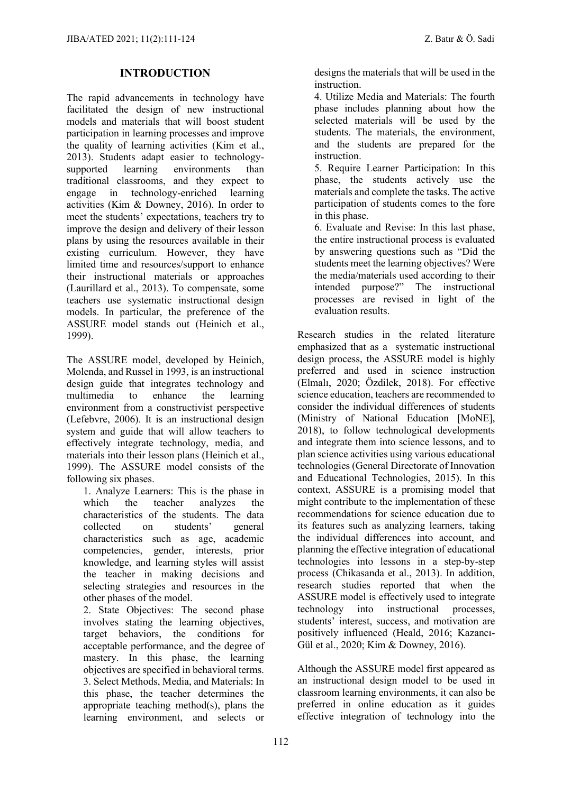### **INTRODUCTION**

The rapid advancements in technology have facilitated the design of new instructional models and materials that will boost student participation in learning processes and improve the quality of learning activities (Kim et al., 2013). Students adapt easier to technologysupported learning environments than traditional classrooms, and they expect to engage in technology-enriched learning activities (Kim & Downey, 2016). In order to meet the students' expectations, teachers try to improve the design and delivery of their lesson plans by using the resources available in their existing curriculum. However, they have limited time and resources/support to enhance their instructional materials or approaches (Laurillard et al., 2013). To compensate, some teachers use systematic instructional design models. In particular, the preference of the ASSURE model stands out (Heinich et al., 1999).

The ASSURE model, developed by Heinich, Molenda, and Russel in 1993, is an instructional design guide that integrates technology and multimedia to enhance the learning environment from a constructivist perspective (Lefebvre, 2006). It is an instructional design system and guide that will allow teachers to effectively integrate technology, media, and materials into their lesson plans (Heinich et al., 1999). The ASSURE model consists of the following six phases.

1. Analyze Learners: This is the phase in which the teacher analyzes the characteristics of the students. The data collected on students' general characteristics such as age, academic competencies, gender, interests, prior knowledge, and learning styles will assist the teacher in making decisions and selecting strategies and resources in the other phases of the model.

2. State Objectives: The second phase involves stating the learning objectives, target behaviors, the conditions for acceptable performance, and the degree of mastery. In this phase, the learning objectives are specified in behavioral terms. 3. Select Methods, Media, and Materials: In this phase, the teacher determines the appropriate teaching method(s), plans the learning environment, and selects or

designs the materials that will be used in the instruction.

4. Utilize Media and Materials: The fourth phase includes planning about how the selected materials will be used by the students. The materials, the environment, and the students are prepared for the instruction.

5. Require Learner Participation: In this phase, the students actively use the materials and complete the tasks. The active participation of students comes to the fore in this phase.

6. Evaluate and Revise: In this last phase, the entire instructional process is evaluated by answering questions such as "Did the students meet the learning objectives? Were the media/materials used according to their intended purpose?" The instructional processes are revised in light of the evaluation results.

Research studies in the related literature emphasized that as a systematic instructional design process, the ASSURE model is highly preferred and used in science instruction (Elmalı, 2020; Özdilek, 2018). For effective science education, teachers are recommended to consider the individual differences of students (Ministry of National Education [MoNE], 2018), to follow technological developments and integrate them into science lessons, and to plan science activities using various educational technologies (General Directorate of Innovation and Educational Technologies, 2015). In this context, ASSURE is a promising model that might contribute to the implementation of these recommendations for science education due to its features such as analyzing learners, taking the individual differences into account, and planning the effective integration of educational technologies into lessons in a step-by-step process (Chikasanda et al., 2013). In addition, research studies reported that when the ASSURE model is effectively used to integrate technology into instructional processes, students' interest, success, and motivation are positively influenced (Heald, 2016; Kazancı-Gül et al., 2020; Kim & Downey, 2016).

Although the ASSURE model first appeared as an instructional design model to be used in classroom learning environments, it can also be preferred in online education as it guides effective integration of technology into the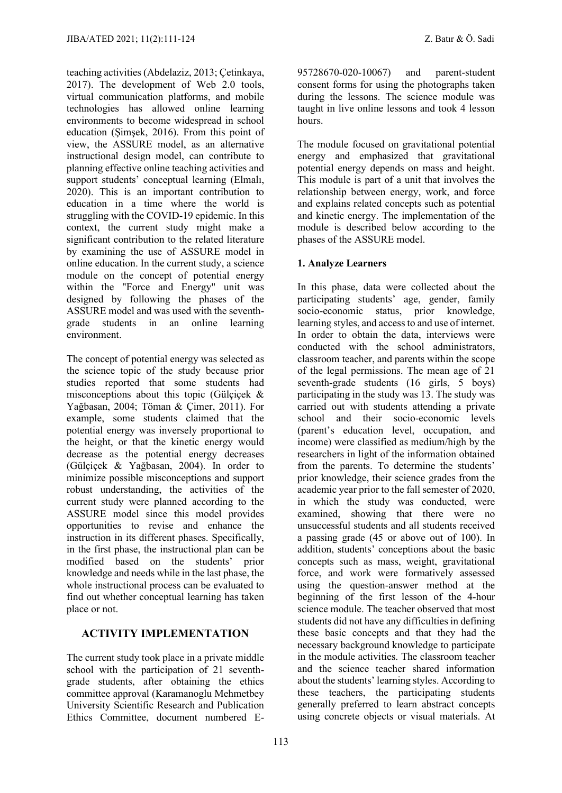teaching activities (Abdelaziz, 2013; Çetinkaya, 2017). The development of Web 2.0 tools, virtual communication platforms, and mobile technologies has allowed online learning environments to become widespread in school education (Şimşek, 2016). From this point of view, the ASSURE model, as an alternative instructional design model, can contribute to planning effective online teaching activities and support students' conceptual learning (Elmalı, 2020). This is an important contribution to education in a time where the world is struggling with the COVID-19 epidemic. In this context, the current study might make a significant contribution to the related literature by examining the use of ASSURE model in online education. In the current study, a science module on the concept of potential energy within the "Force and Energy" unit was designed by following the phases of the ASSURE model and was used with the seventhgrade students in an online learning environment.

The concept of potential energy was selected as the science topic of the study because prior studies reported that some students had misconceptions about this topic (Gülçiçek & Yağbasan, 2004; Töman & Çimer, 2011). For example, some students claimed that the potential energy was inversely proportional to the height, or that the kinetic energy would decrease as the potential energy decreases (Gülçiçek & Yağbasan, 2004). In order to minimize possible misconceptions and support robust understanding, the activities of the current study were planned according to the ASSURE model since this model provides opportunities to revise and enhance the instruction in its different phases. Specifically, in the first phase, the instructional plan can be modified based on the students' prior knowledge and needs while in the last phase, the whole instructional process can be evaluated to find out whether conceptual learning has taken place or not.

# **ACTIVITY IMPLEMENTATION**

The current study took place in a private middle school with the participation of 21 seventhgrade students, after obtaining the ethics committee approval (Karamanoglu Mehmetbey University Scientific Research and Publication Ethics Committee, document numbered E-

95728670-020-10067) and parent-student consent forms for using the photographs taken during the lessons. The science module was taught in live online lessons and took 4 lesson hours.

The module focused on gravitational potential energy and emphasized that gravitational potential energy depends on mass and height. This module is part of a unit that involves the relationship between energy, work, and force and explains related concepts such as potential and kinetic energy. The implementation of the module is described below according to the phases of the ASSURE model.

# **1. Analyze Learners**

In this phase, data were collected about the participating students' age, gender, family socio-economic status, prior knowledge, learning styles, and access to and use of internet. In order to obtain the data, interviews were conducted with the school administrators classroom teacher, and parents within the scope of the legal permissions. The mean age of 21 seventh-grade students (16 girls, 5 boys) participating in the study was 13. The study was carried out with students attending a private school and their socio-economic levels (parent's education level, occupation, and income) were classified as medium/high by the researchers in light of the information obtained from the parents. To determine the students' prior knowledge, their science grades from the academic year prior to the fall semester of 2020, in which the study was conducted, were examined, showing that there were no unsuccessful students and all students received a passing grade (45 or above out of 100). In addition, students' conceptions about the basic concepts such as mass, weight, gravitational force, and work were formatively assessed using the question-answer method at the beginning of the first lesson of the 4-hour science module. The teacher observed that most students did not have any difficulties in defining these basic concepts and that they had the necessary background knowledge to participate in the module activities. The classroom teacher and the science teacher shared information about the students' learning styles. According to these teachers, the participating students generally preferred to learn abstract concepts using concrete objects or visual materials. At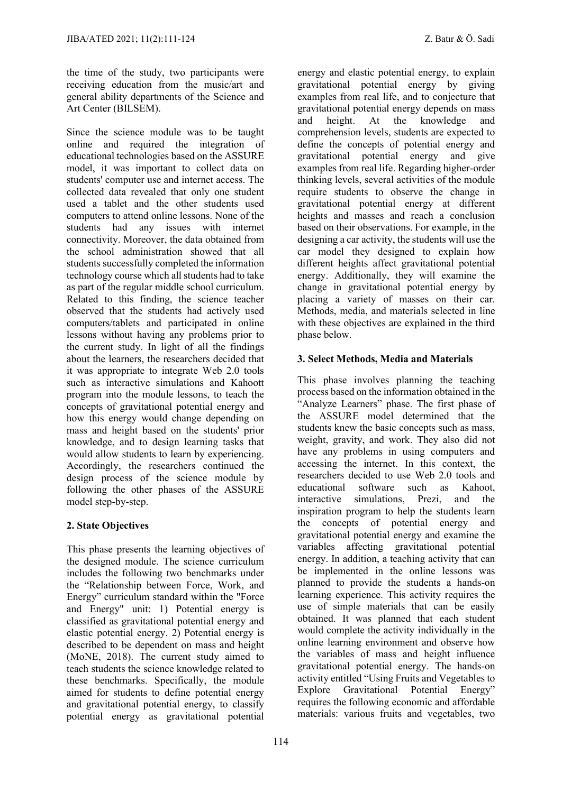the time of the study, two participants were receiving education from the music/art and general ability departments of the Science and Art Center (BILSEM).

Since the science module was to be taught online and required the integration of educational technologies based on the ASSURE model, it was important to collect data on students' computer use and internet access. The collected data revealed that only one student used a tablet and the other students used computers to attend online lessons. None of the students had any issues with internet connectivity. Moreover, the data obtained from the school administration showed that all students successfully completed the information technology course which all students had to take as part of the regular middle school curriculum. Related to this finding, the science teacher observed that the students had actively used computers/tablets and participated in online lessons without having any problems prior to the current study. In light of all the findings about the learners, the researchers decided that it was appropriate to integrate Web 2.0 tools such as interactive simulations and Kahoott program into the module lessons, to teach the concepts of gravitational potential energy and how this energy would change depending on mass and height based on the students' prior knowledge, and to design learning tasks that would allow students to learn by experiencing. Accordingly, the researchers continued the design process of the science module by following the other phases of the ASSURE model step-by-step.

# **2. State Objectives**

This phase presents the learning objectives of the designed module. The science curriculum includes the following two benchmarks under the "Relationship between Force, Work, and Energy" curriculum standard within the "Force and Energy" unit: 1) Potential energy is classified as gravitational potential energy and elastic potential energy. 2) Potential energy is described to be dependent on mass and height (MoNE, 2018). The current study aimed to teach students the science knowledge related to these benchmarks. Specifically, the module aimed for students to define potential energy and gravitational potential energy, to classify potential energy as gravitational potential

energy and elastic potential energy, to explain gravitational potential energy by giving examples from real life, and to conjecture that gravitational potential energy depends on mass<br>and <br>height. At the knowledge and and height. At the knowledge and comprehension levels, students are expected to define the concepts of potential energy and gravitational potential energy and give examples from real life. Regarding higher-order thinking levels, several activities of the module require students to observe the change in gravitational potential energy at different heights and masses and reach a conclusion based on their observations. For example, in the designing a car activity, the students will use the car model they designed to explain how different heights affect gravitational potential energy. Additionally, they will examine the change in gravitational potential energy by placing a variety of masses on their car. Methods, media, and materials selected in line with these objectives are explained in the third

### **3. Select Methods, Media and Materials**

phase below.

This phase involves planning the teaching process based on the information obtained in the "Analyze Learners" phase. The first phase of the ASSURE model determined that the students knew the basic concepts such as mass, weight, gravity, and work. They also did not have any problems in using computers and accessing the internet. In this context, the researchers decided to use Web 2.0 tools and educational software such as Kahoot, interactive simulations, Prezi, and the inspiration program to help the students learn the concepts of potential energy and gravitational potential energy and examine the variables affecting gravitational potential energy. In addition, a teaching activity that can be implemented in the online lessons was planned to provide the students a hands-on learning experience. This activity requires the use of simple materials that can be easily obtained. It was planned that each student would complete the activity individually in the online learning environment and observe how the variables of mass and height influence gravitational potential energy. The hands-on activity entitled "Using Fruits and Vegetables to Explore Gravitational Potential Energy" requires the following economic and affordable materials: various fruits and vegetables, two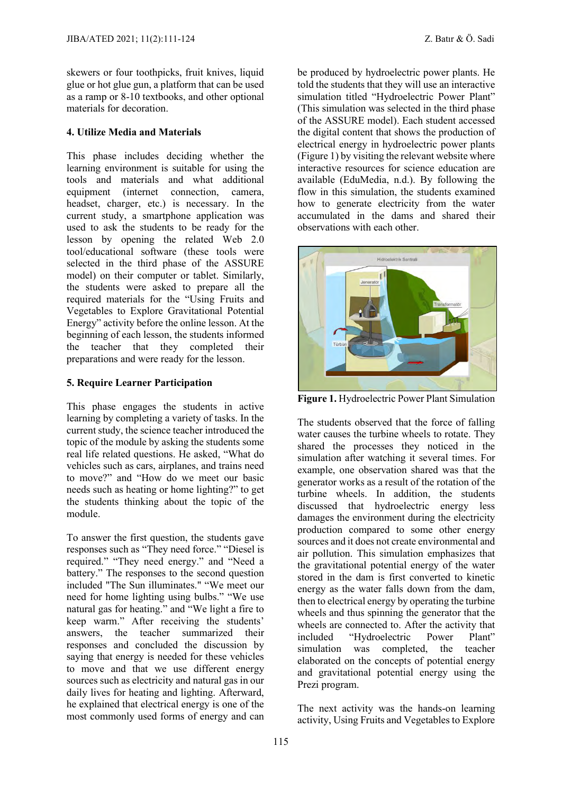skewers or four toothpicks, fruit knives, liquid glue or hot glue gun, a platform that can be used as a ramp or 8-10 textbooks, and other optional materials for decoration.

### **4. Utilize Media and Materials**

This phase includes deciding whether the learning environment is suitable for using the tools and materials and what additional equipment (internet connection, camera, headset, charger, etc.) is necessary. In the current study, a smartphone application was used to ask the students to be ready for the lesson by opening the related Web 2.0 tool/educational software (these tools were selected in the third phase of the ASSURE model) on their computer or tablet. Similarly, the students were asked to prepare all the required materials for the "Using Fruits and Vegetables to Explore Gravitational Potential Energy" activity before the online lesson. At the beginning of each lesson, the students informed the teacher that they completed their preparations and were ready for the lesson.

### **5. Require Learner Participation**

This phase engages the students in active learning by completing a variety of tasks. In the current study, the science teacher introduced the topic of the module by asking the students some real life related questions. He asked, "What do vehicles such as cars, airplanes, and trains need to move?" and "How do we meet our basic needs such as heating or home lighting?" to get the students thinking about the topic of the module.

To answer the first question, the students gave responses such as "They need force." "Diesel is required." "They need energy." and "Need a battery." The responses to the second question included "The Sun illuminates." "We meet our need for home lighting using bulbs." "We use natural gas for heating." and "We light a fire to keep warm." After receiving the students' answers, the teacher summarized their responses and concluded the discussion by saying that energy is needed for these vehicles to move and that we use different energy sources such as electricity and natural gas in our daily lives for heating and lighting. Afterward, he explained that electrical energy is one of the most commonly used forms of energy and can

be produced by hydroelectric power plants. He told the students that they will use an interactive simulation titled "Hydroelectric Power Plant" (This simulation was selected in the third phase of the ASSURE model). Each student accessed the digital content that shows the production of electrical energy in hydroelectric power plants (Figure 1) by visiting the relevant website where interactive resources for science education are available (EduMedia, n.d.). By following the flow in this simulation, the students examined how to generate electricity from the water accumulated in the dams and shared their observations with each other.



**Figure 1.** Hydroelectric Power Plant Simulation

The students observed that the force of falling water causes the turbine wheels to rotate. They shared the processes they noticed in the simulation after watching it several times. For example, one observation shared was that the generator works as a result of the rotation of the turbine wheels. In addition, the students discussed that hydroelectric energy less damages the environment during the electricity production compared to some other energy sources and it does not create environmental and air pollution. This simulation emphasizes that the gravitational potential energy of the water stored in the dam is first converted to kinetic energy as the water falls down from the dam, then to electrical energy by operating the turbine wheels and thus spinning the generator that the wheels are connected to. After the activity that included "Hydroelectric Power Plant" simulation was completed, the teacher elaborated on the concepts of potential energy and gravitational potential energy using the Prezi program.

The next activity was the hands-on learning activity, Using Fruits and Vegetables to Explore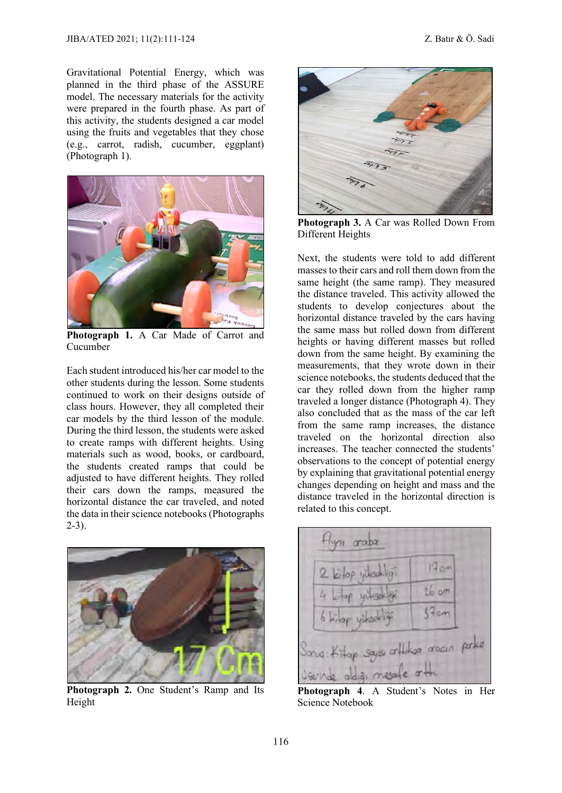Gravitational Potential Energy, which was planned in the third phase of the ASSURE model. The necessary materials for the activity were prepared in the fourth phase. As part of this activity, the students designed a car model using the fruits and vegetables that they chose (e.g., carrot, radish, cucumber, eggplant) (Photograph 1).



**Photograph 1.** A Car Made of Carrot and Cucumber

Each student introduced his/her car model to the other students during the lesson. Some students continued to work on their designs outside of class hours. However, they all completed their car models by the third lesson of the module. During the third lesson, the students were asked to create ramps with different heights. Using materials such as wood, books, or cardboard, the students created ramps that could be adjusted to have different heights. They rolled their cars down the ramps, measured the horizontal distance the car traveled, and noted the data in their science notebooks (Photographs 2-3).



**Photograph 2.** One Student's Ramp and Its Height



**Photograph 3.** A Car was Rolled Down From Different Heights

Next, the students were told to add different masses to their cars and roll them down from the same height (the same ramp). They measured the distance traveled. This activity allowed the students to develop conjectures about the horizontal distance traveled by the cars having the same mass but rolled down from different heights or having different masses but rolled down from the same height. By examining the measurements, that they wrote down in their science notebooks, the students deduced that the car they rolled down from the higher ramp traveled a longer distance (Photograph 4). They also concluded that as the mass of the car left from the same ramp increases, the distance traveled on the horizontal direction also increases. The teacher connected the students' observations to the concept of potential energy by explaining that gravitational potential energy changes depending on height and mass and the distance traveled in the horizontal direction is related to this concept.



**Photograph 4**. A Student's Notes in Her Science Notebook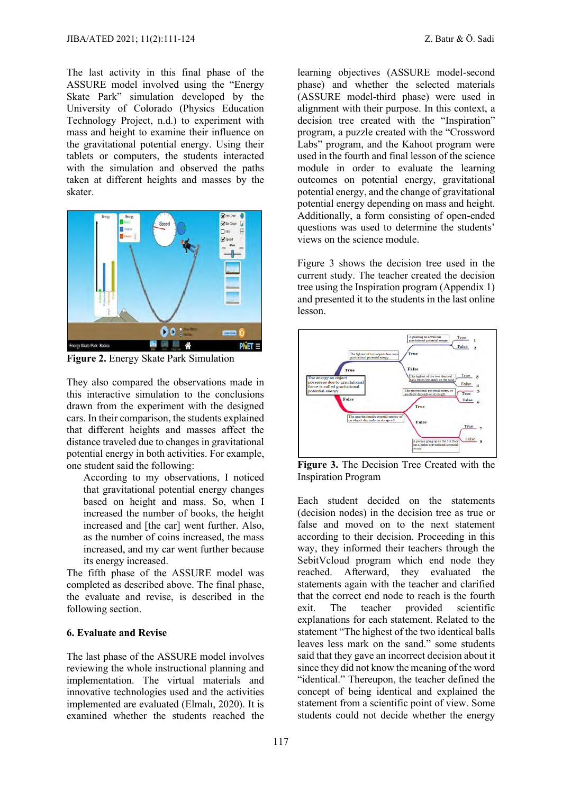The last activity in this final phase of the ASSURE model involved using the "Energy Skate Park" simulation developed by the University of Colorado (Physics Education Technology Project, n.d.) to experiment with mass and height to examine their influence on the gravitational potential energy. Using their tablets or computers, the students interacted with the simulation and observed the paths taken at different heights and masses by the skater.



**Figure 2.** Energy Skate Park Simulation

They also compared the observations made in this interactive simulation to the conclusions drawn from the experiment with the designed cars. In their comparison, the students explained that different heights and masses affect the distance traveled due to changes in gravitational potential energy in both activities. For example, one student said the following:

According to my observations, I noticed that gravitational potential energy changes based on height and mass. So, when I increased the number of books, the height increased and [the car] went further. Also, as the number of coins increased, the mass increased, and my car went further because its energy increased.

The fifth phase of the ASSURE model was completed as described above. The final phase, the evaluate and revise, is described in the following section.

### **6. Evaluate and Revise**

The last phase of the ASSURE model involves reviewing the whole instructional planning and implementation. The virtual materials and innovative technologies used and the activities implemented are evaluated (Elmalı, 2020). It is examined whether the students reached the

learning objectives (ASSURE model-second phase) and whether the selected materials (ASSURE model-third phase) were used in alignment with their purpose. In this context, a decision tree created with the "Inspiration" program, a puzzle created with the "Crossword Labs" program, and the Kahoot program were used in the fourth and final lesson of the science module in order to evaluate the learning outcomes on potential energy, gravitational potential energy, and the change of gravitational potential energy depending on mass and height. Additionally, a form consisting of open-ended questions was used to determine the students' views on the science module.

Figure 3 shows the decision tree used in the current study. The teacher created the decision tree using the Inspiration program (Appendix 1) and presented it to the students in the last online lesson.



**Figure 3.** The Decision Tree Created with the Inspiration Program

Each student decided on the statements (decision nodes) in the decision tree as true or false and moved on to the next statement according to their decision. Proceeding in this way, they informed their teachers through the SebitVcloud program which end node they reached. Afterward, they evaluated the statements again with the teacher and clarified that the correct end node to reach is the fourth exit. The teacher provided scientific explanations for each statement. Related to the statement "The highest of the two identical balls leaves less mark on the sand." some students said that they gave an incorrect decision about it since they did not know the meaning of the word "identical." Thereupon, the teacher defined the concept of being identical and explained the statement from a scientific point of view. Some students could not decide whether the energy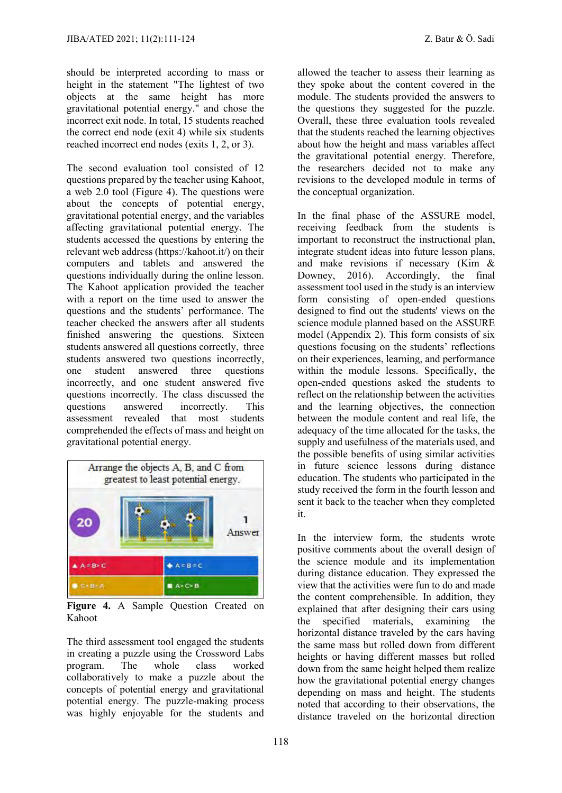should be interpreted according to mass or height in the statement "The lightest of two objects at the same height has more gravitational potential energy." and chose the incorrect exit node. In total, 15 students reached the correct end node (exit 4) while six students reached incorrect end nodes (exits 1, 2, or 3).

The second evaluation tool consisted of 12 questions prepared by the teacher using Kahoot, a web 2.0 tool (Figure 4). The questions were about the concepts of potential energy, gravitational potential energy, and the variables affecting gravitational potential energy. The students accessed the questions by entering the relevant web address (https://kahoot.it/) on their computers and tablets and answered the questions individually during the online lesson. The Kahoot application provided the teacher with a report on the time used to answer the questions and the students' performance. The teacher checked the answers after all students finished answering the questions. Sixteen students answered all questions correctly, three students answered two questions incorrectly, one student answered three questions incorrectly, and one student answered five questions incorrectly. The class discussed the<br>questions answered incorrectly. This questions answered incorrectly. assessment revealed that most students comprehended the effects of mass and height on gravitational potential energy.



**Figure 4.** A Sample Question Created on Kahoot

The third assessment tool engaged the students in creating a puzzle using the Crossword Labs program. The whole class worked collaboratively to make a puzzle about the concepts of potential energy and gravitational potential energy. The puzzle-making process was highly enjoyable for the students and

allowed the teacher to assess their learning as they spoke about the content covered in the module. The students provided the answers to the questions they suggested for the puzzle. Overall, these three evaluation tools revealed that the students reached the learning objectives about how the height and mass variables affect the gravitational potential energy. Therefore, the researchers decided not to make any revisions to the developed module in terms of the conceptual organization.

In the final phase of the ASSURE model, receiving feedback from the students is important to reconstruct the instructional plan, integrate student ideas into future lesson plans, and make revisions if necessary (Kim & Downey, 2016). Accordingly, the final assessment tool used in the study is an interview form consisting of open-ended questions designed to find out the students' views on the science module planned based on the ASSURE model (Appendix 2). This form consists of six questions focusing on the students' reflections on their experiences, learning, and performance within the module lessons. Specifically, the open-ended questions asked the students to reflect on the relationship between the activities and the learning objectives, the connection between the module content and real life, the adequacy of the time allocated for the tasks, the supply and usefulness of the materials used, and the possible benefits of using similar activities in future science lessons during distance education. The students who participated in the study received the form in the fourth lesson and sent it back to the teacher when they completed it.

In the interview form, the students wrote positive comments about the overall design of the science module and its implementation during distance education. They expressed the view that the activities were fun to do and made the content comprehensible. In addition, they explained that after designing their cars using the specified materials, examining the horizontal distance traveled by the cars having the same mass but rolled down from different heights or having different masses but rolled down from the same height helped them realize how the gravitational potential energy changes depending on mass and height. The students noted that according to their observations, the distance traveled on the horizontal direction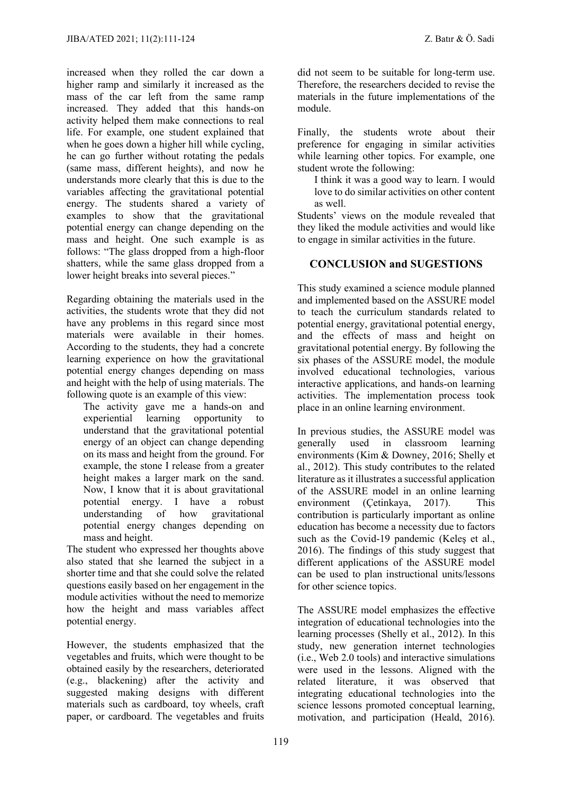increased when they rolled the car down a higher ramp and similarly it increased as the mass of the car left from the same ramp increased. They added that this hands-on activity helped them make connections to real life. For example, one student explained that when he goes down a higher hill while cycling, he can go further without rotating the pedals (same mass, different heights), and now he understands more clearly that this is due to the variables affecting the gravitational potential energy. The students shared a variety of examples to show that the gravitational potential energy can change depending on the mass and height. One such example is as follows: "The glass dropped from a high-floor shatters, while the same glass dropped from a lower height breaks into several pieces."

Regarding obtaining the materials used in the activities, the students wrote that they did not have any problems in this regard since most materials were available in their homes. According to the students, they had a concrete learning experience on how the gravitational potential energy changes depending on mass and height with the help of using materials. The following quote is an example of this view:

The activity gave me a hands-on and experiential learning opportunity to understand that the gravitational potential energy of an object can change depending on its mass and height from the ground. For example, the stone I release from a greater height makes a larger mark on the sand. Now, I know that it is about gravitational potential energy. I have a robust understanding of how gravitational potential energy changes depending on mass and height.

The student who expressed her thoughts above also stated that she learned the subject in a shorter time and that she could solve the related questions easily based on her engagement in the module activities without the need to memorize how the height and mass variables affect potential energy.

However, the students emphasized that the vegetables and fruits, which were thought to be obtained easily by the researchers, deteriorated (e.g., blackening) after the activity and suggested making designs with different materials such as cardboard, toy wheels, craft paper, or cardboard. The vegetables and fruits

did not seem to be suitable for long-term use. Therefore, the researchers decided to revise the materials in the future implementations of the module.

Finally, the students wrote about their preference for engaging in similar activities while learning other topics. For example, one student wrote the following:

I think it was a good way to learn. I would love to do similar activities on other content as well.

Students' views on the module revealed that they liked the module activities and would like to engage in similar activities in the future.

### **CONCLUSION and SUGESTIONS**

This study examined a science module planned and implemented based on the ASSURE model to teach the curriculum standards related to potential energy, gravitational potential energy, and the effects of mass and height on gravitational potential energy. By following the six phases of the ASSURE model, the module involved educational technologies, various interactive applications, and hands-on learning activities. The implementation process took place in an online learning environment.

In previous studies, the ASSURE model was generally used in classroom learning environments (Kim & Downey, 2016; Shelly et al., 2012). This study contributes to the related literature as it illustrates a successful application of the ASSURE model in an online learning environment (Çetinkaya, 2017). This contribution is particularly important as online education has become a necessity due to factors such as the Covid-19 pandemic (Keleş et al., 2016). The findings of this study suggest that different applications of the ASSURE model can be used to plan instructional units/lessons for other science topics.

The ASSURE model emphasizes the effective integration of educational technologies into the learning processes (Shelly et al., 2012). In this study, new generation internet technologies (i.e., Web 2.0 tools) and interactive simulations were used in the lessons. Aligned with the related literature, it was observed that integrating educational technologies into the science lessons promoted conceptual learning, motivation, and participation (Heald, 2016).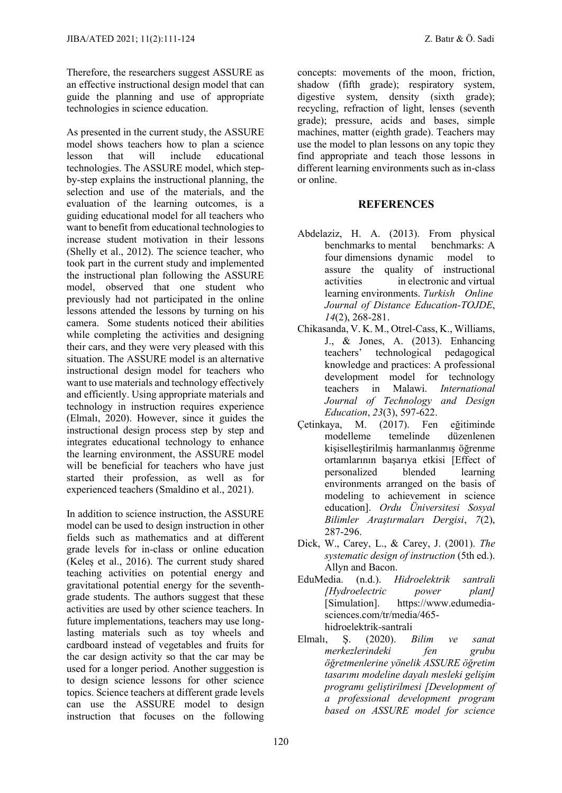Therefore, the researchers suggest ASSURE as an effective instructional design model that can guide the planning and use of appropriate technologies in science education.

As presented in the current study, the ASSURE model shows teachers how to plan a science lesson that will include educational technologies. The ASSURE model, which stepby-step explains the instructional planning, the selection and use of the materials, and the evaluation of the learning outcomes, is a guiding educational model for all teachers who want to benefit from educational technologies to increase student motivation in their lessons (Shelly et al., 2012). The science teacher, who took part in the current study and implemented the instructional plan following the ASSURE model, observed that one student who previously had not participated in the online lessons attended the lessons by turning on his camera. Some students noticed their abilities while completing the activities and designing their cars, and they were very pleased with this situation. The ASSURE model is an alternative instructional design model for teachers who want to use materials and technology effectively and efficiently. Using appropriate materials and technology in instruction requires experience (Elmalı, 2020). However, since it guides the instructional design process step by step and integrates educational technology to enhance the learning environment, the ASSURE model will be beneficial for teachers who have just started their profession, as well as for experienced teachers (Smaldino et al., 2021).

In addition to science instruction, the ASSURE model can be used to design instruction in other fields such as mathematics and at different grade levels for in-class or online education (Keleş et al., 2016). The current study shared teaching activities on potential energy and gravitational potential energy for the seventhgrade students. The authors suggest that these activities are used by other science teachers. In future implementations, teachers may use longlasting materials such as toy wheels and cardboard instead of vegetables and fruits for the car design activity so that the car may be used for a longer period. Another suggestion is to design science lessons for other science topics. Science teachers at different grade levels can use the ASSURE model to design instruction that focuses on the following

concepts: movements of the moon, friction, shadow (fifth grade); respiratory system, digestive system, density (sixth grade); recycling, refraction of light, lenses (seventh grade); pressure, acids and bases, simple machines, matter (eighth grade). Teachers may use the model to plan lessons on any topic they find appropriate and teach those lessons in different learning environments such as in-class or online.

### **REFERENCES**

- Abdelaziz, H. A. (2013). From physical benchmarks to mental benchmarks: A four dimensions dynamic model to assure the quality of instructional activities in electronic and virtual learning environments. *Turkish Online Journal of Distance Education-TOJDE*, *14*(2), 268-281.
- Chikasanda, V. K. M., Otrel-Cass, K., Williams, J., & Jones, A. (2013). Enhancing teachers' technological pedagogical knowledge and practices: A professional development model for technology teachers in Malawi. *International Journal of Technology and Design Education*, *23*(3), 597-622.
- Çetinkaya, M. (2017). Fen eğitiminde modelleme temelinde düzenlenen kişiselleştirilmiş harmanlanmış öğrenme ortamlarının başarıya etkisi [Effect of personalized blended learning environments arranged on the basis of modeling to achievement in science education]. *Ordu Üniversitesi Sosyal Bilimler Araştırmaları Dergisi*, *7*(2), 287-296.
- Dick, W., Carey, L., & Carey, J. (2001). *The systematic design of instruction* (5th ed.). Allyn and Bacon.
- EduMedia. (n.d.). *Hidroelektrik santrali [Hydroelectric power plant]* [Simulation]. https://www.edumediasciences.com/tr/media/465 hidroelektrik-santrali
- Elmalı, Ş. (2020). *Bilim ve sanat merkezlerindeki fen grubu öğretmenlerine yönelik ASSURE öğretim tasarımı modeline dayalı mesleki gelişim programı geliştirilmesi [Development of a professional development program based on ASSURE model for science*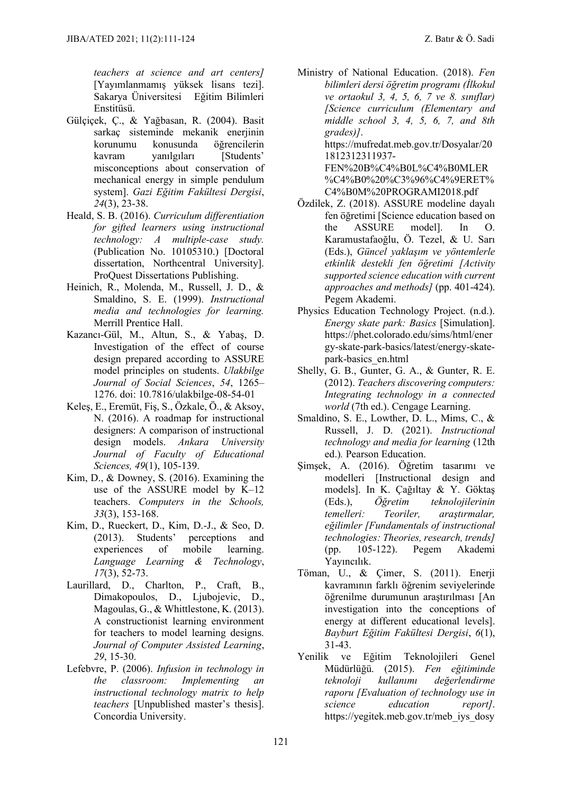*teachers at science and art centers]* [Yayımlanmamış yüksek lisans tezi]. Sakarya Üniversitesi Eğitim Bilimleri Enstitüsü.

- Gülçiçek, Ç., & Yağbasan, R. (2004). Basit sarkaç sisteminde mekanik eneriinin korunumu konusunda öğrencilerin kavram yanılgıları [Students' misconceptions about conservation of mechanical energy in simple pendulum system]. *Gazi Eğitim Fakültesi Dergisi*, *24*(3), 23-38.
- Heald, S. B. (2016). *Curriculum differentiation for gifted learners using instructional technology: A multiple-case study.* (Publication No. 10105310.) [Doctoral dissertation, Northcentral University]. ProQuest Dissertations Publishing.
- Heinich, R., Molenda, M., Russell, J. D., & Smaldino, S. E. (1999). *Instructional media and technologies for learning.*  Merrill Prentice Hall.
- Kazancı-Gül, M., Altun, S., & Yabaş, D. Investigation of the effect of course design prepared according to ASSURE model principles on students. *Ulakbilge Journal of Social Sciences*, *54*, 1265– 1276. doi: 10.7816/ulakbilge-08-54-01
- Keleş, E., Eremüt, Fiş, S., Özkale, Ö., & Aksoy, N. (2016). A roadmap for instructional designers: A comparison of instructional design models. *Ankara University Journal of Faculty of Educational Sciences, 49*(1), 105-139.
- Kim, D., & Downey, S. (2016). Examining the use of the ASSURE model by K–12 teachers. *Computers in the Schools, 33*(3), 153-168.
- Kim, D., Rueckert, D., Kim, D.-J., & Seo, D. (2013). Students' perceptions and experiences of mobile learning. *Language Learning & Technology*, *17*(3), 52-73.
- Laurillard, D., Charlton, P., Craft, B., Dimakopoulos, D., Ljubojevic, D., Magoulas, G., & Whittlestone, K. (2013). A constructionist learning environment for teachers to model learning designs. *Journal of Computer Assisted Learning*, *29*, 15-30.
- Lefebvre, P. (2006). *Infusion in technology in the classroom: Implementing an instructional technology matrix to help teachers* [Unpublished master's thesis]. Concordia University.

Ministry of National Education. (2018). *Fen bilimleri dersi öğretim programı (İlkokul ve ortaokul 3, 4, 5, 6, 7 ve 8. sınıflar) [Science curriculum (Elementary and middle school 3, 4, 5, 6, 7, and 8th grades)]*. https://mufredat.meb.gov.tr/Dosyalar/20 1812312311937-

> FEN%20B%C4%B0L%C4%B0MLER %C4%B0%20%C3%96%C4%9ERET% C4%B0M%20PROGRAMI2018.pdf

- Özdilek, Z. (2018). ASSURE modeline dayalı fen öğretimi [Science education based on the ASSURE model]. In O. Karamustafaoğlu, Ö. Tezel, & U. Sarı (Eds.), *Güncel yaklaşım ve yöntemlerle etkinlik destekli fen öğretimi [Activity supported science education with current approaches and methods]* (pp. 401-424). Pegem Akademi.
- Physics Education Technology Project. (n.d.). *Energy skate park: Basics* [Simulation]. [https://phet.colorado.edu/sims/html/ener](https://phet.colorado.edu/sims/html/energy-skate-park-basics/latest/energy-skate-park-basics_en.html) [gy-skate-park-basics/latest/energy-skate](https://phet.colorado.edu/sims/html/energy-skate-park-basics/latest/energy-skate-park-basics_en.html)[park-basics\\_en.html](https://phet.colorado.edu/sims/html/energy-skate-park-basics/latest/energy-skate-park-basics_en.html)
- Shelly, G. B., Gunter, G. A., & Gunter, R. E. (2012). *Teachers discovering computers: Integrating technology in a connected world* (7th ed.). Cengage Learning.
- Smaldino, S. E., Lowther, D. L., Mims, C., & Russell, J. D. (2021). *Instructional technology and media for learning* (12th ed.)*.* Pearson Education.
- Şimşek, A. (2016). Öğretim tasarımı ve modelleri [Instructional design and models]. In K. Çağıltay & Y. Göktaş (Eds.), *Öğretim teknolojilerinin temelleri: Teoriler, araştırmalar, eğilimler [Fundamentals of instructional technologies: Theories, research, trends]* (pp. 105-122). Pegem Akademi Yayıncılık.
- Töman, U., & Çimer, S. (2011). Enerji kavramının farklı öğrenim seviyelerinde öğrenilme durumunun araştırılması [An investigation into the conceptions of energy at different educational levels]. *Bayburt Eğitim Fakültesi Dergisi*, *6*(1), 31-43.
- Yenilik ve Eğitim Teknolojileri Genel Müdürlüğü. (2015). *Fen eğitiminde teknoloji kullanımı değerlendirme raporu [Evaluation of technology use in science education report]*. https://yegitek.meb.gov.tr/meb\_iys\_dosy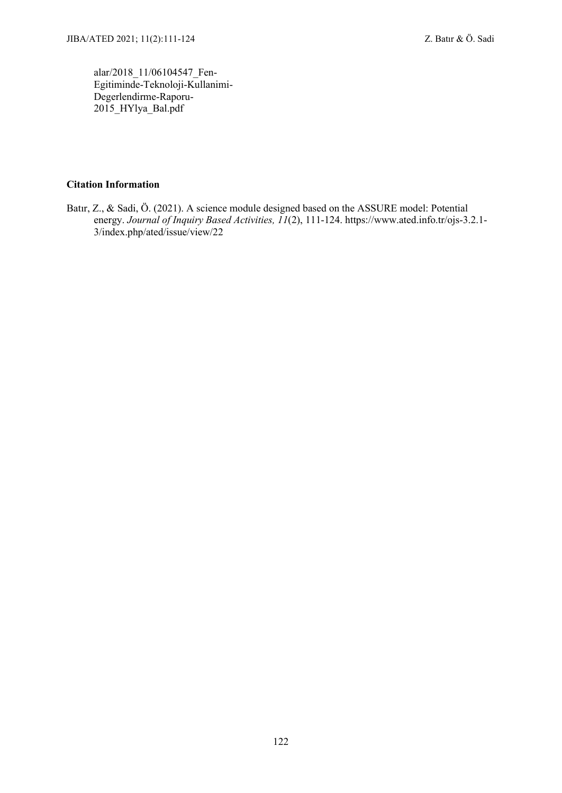alar/2018\_11/06104547\_Fen-Egitiminde-Teknoloji-Kullanimi-Degerlendirme-Raporu-2015 HYlya Bal.pdf

### **Citation Information**

Batır, Z., & Sadi, Ö. (2021). A science module designed based on the ASSURE model: Potential energy. *Journal of Inquiry Based Activities, 11*(2), 111-124. https://www.ated.info.tr/ojs-3.2.1- 3/index.php/ated/issue/view/22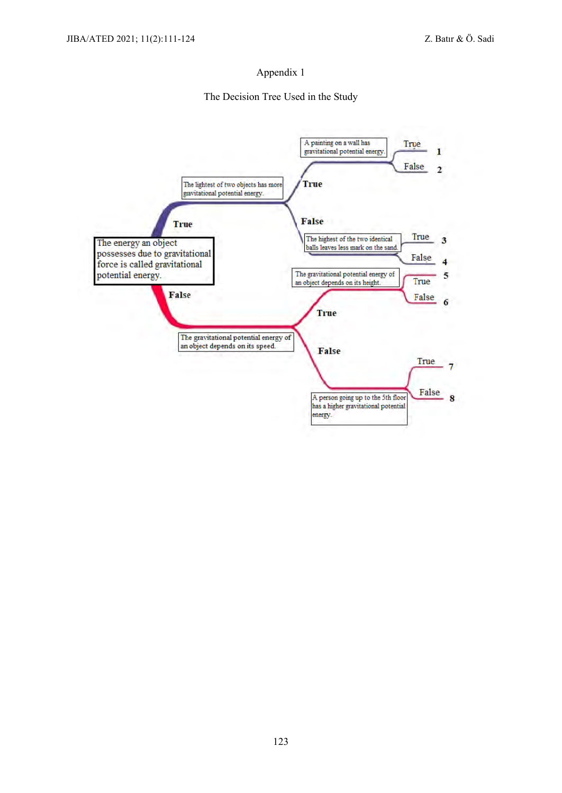#### Appendix 1

#### The Decision Tree Used in the Study